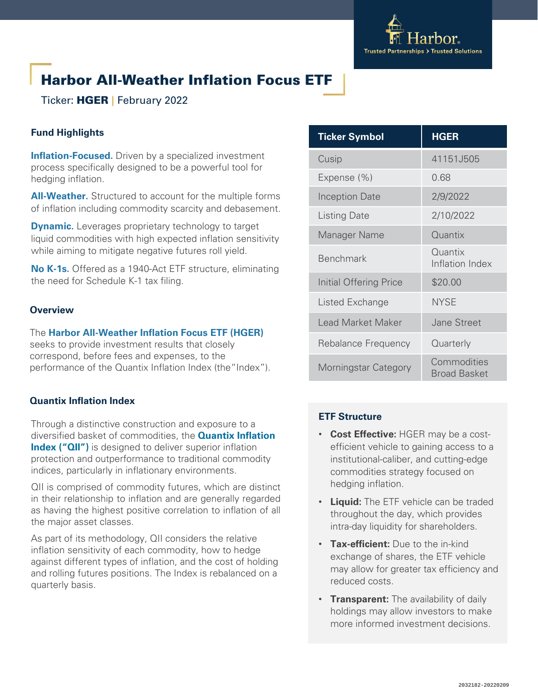

# Harbor All-Weather Inflation Focus ETF

Ticker: HGER **|** February 2022

# **Fund Highlights**

**Inflation-Focused.** Driven by a specialized investment process specifically designed to be a powerful tool for hedging inflation.

**All-Weather.** Structured to account for the multiple forms of inflation including commodity scarcity and debasement.

**Dynamic.** Leverages proprietary technology to target liquid commodities with high expected inflation sensitivity while aiming to mitigate negative futures roll yield.

**No K-1s.** Offered as a 1940-Act ETF structure, eliminating the need for Schedule K-1 tax filing.

### **Overview**

The **Harbor All-Weather Inflation Focus ETF (HGER)**  seeks to provide investment results that closely correspond, before fees and expenses, to the performance of the Quantix Inflation Index (the"Index").

# **Quantix Inflation Index**

Through a distinctive construction and exposure to a diversified basket of commodities, the **Quantix Inflation Index ("QII")** is designed to deliver superior inflation protection and outperformance to traditional commodity indices, particularly in inflationary environments.

QII is comprised of commodity futures, which are distinct in their relationship to inflation and are generally regarded as having the highest positive correlation to inflation of all the major asset classes.

As part of its methodology, QII considers the relative inflation sensitivity of each commodity, how to hedge against different types of inflation, and the cost of holding and rolling futures positions. The Index is rebalanced on a quarterly basis.

| <b>Ticker Symbol</b>   | <b>HGER</b>                 |
|------------------------|-----------------------------|
| Cusip                  | 41151J505                   |
| Expense (%)            | 0.68                        |
| <b>Inception Date</b>  | 2/9/2022                    |
| <b>Listing Date</b>    | 2/10/2022                   |
| Manager Name           | Quantix                     |
| <b>Benchmark</b>       | Quantix<br>Inflation Index  |
| Initial Offering Price | \$20.00                     |
| Listed Exchange        | <b>NYSE</b>                 |
| Lead Market Maker      | <b>Jane Street</b>          |
| Rebalance Frequency    | Quarterly                   |
| Morningstar Category   | Commodities<br>Broad Basket |

# **ETF Structure**

- **Cost Effective:** HGER may be a costefficient vehicle to gaining access to a institutional-caliber, and cutting-edge commodities strategy focused on hedging inflation.
- **Liquid:** The ETF vehicle can be traded throughout the day, which provides intra-day liquidity for shareholders.
- **Tax-efficient:** Due to the in-kind exchange of shares, the ETF vehicle may allow for greater tax efficiency and reduced costs.
- **Transparent:** The availability of daily holdings may allow investors to make more informed investment decisions.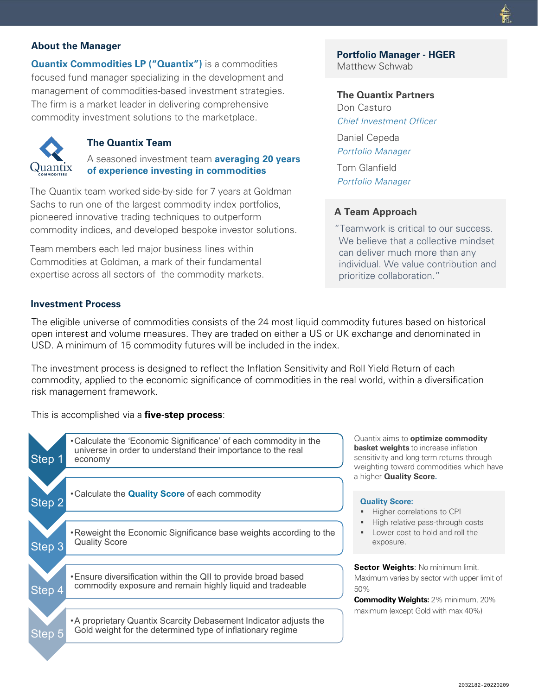### **About the Manager**

**Quantix Commodities LP ("Quantix")** is a commodities focused fund manager specializing in the development and management of commodities-based investment strategies. The firm is a market leader in delivering comprehensive commodity investment solutions to the marketplace.



### **The Quantix Team**

A seasoned investment team **averaging 20 years of experience investing in commodities**

The Quantix team worked side-by-side for 7 years at Goldman Sachs to run one of the largest commodity index portfolios, pioneered innovative trading techniques to outperform commodity indices, and developed bespoke investor solutions.

Team members each led major business lines within Commodities at Goldman, a mark of their fundamental expertise across all sectors of the commodity markets.

# **Portfolio Manager - HGER**

Matthew Schwab

**The Quantix Partners** Don Casturo

Chief Investment Officer

Daniel Cepeda *Portfolio Manager* Tom Glanfield *Portfolio Manager*

### **A Team Approach**

"Teamwork is critical to our success. We believe that a collective mindset can deliver much more than any individual. We value contribution and prioritize collaboration."

### **Investment Process**

The eligible universe of commodities consists of the 24 most liquid commodity futures based on historical open interest and volume measures. They are traded on either a US or UK exchange and denominated in USD. A minimum of 15 commodity futures will be included in the index.

The investment process is designed to reflect the Inflation Sensitivity and Roll Yield Return of each commodity, applied to the economic significance of commodities in the real world, within a diversification risk management framework.

This is accomplished via a **five-step process**:



Quantix aims to **optimize commodity basket weights** to increase inflation sensitivity and long-term returns through weighting toward commodities which have a higher **Quality Score.**

- **Higher correlations to CPI**
- High relative pass-through costs
- **Lower cost to hold and roll the**

**Sector Weights**: No minimum limit. Maximum varies by sector with upper limit of

**Commodity Weights:** 2% minimum, 20% maximum (except Gold with max 40%)